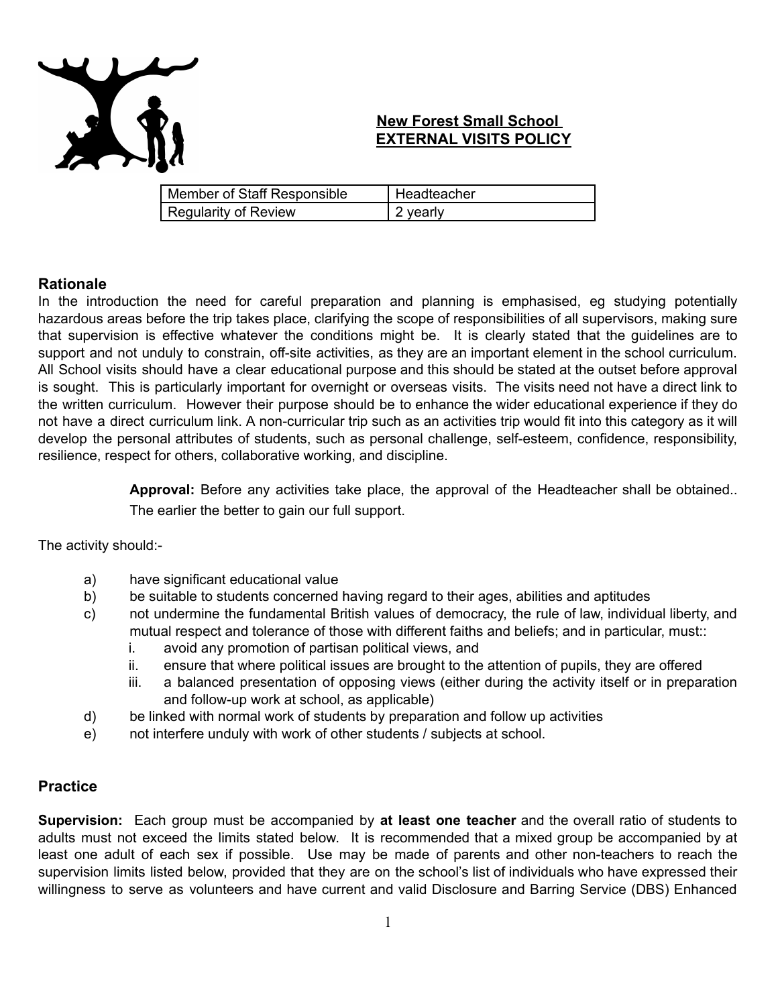

# **New Forest Small School EXTERNAL VISITS POLICY**

| Member of Staff Responsible | Headteacher |
|-----------------------------|-------------|
| <b>Regularity of Review</b> | 2 yearly    |

## **Rationale**

In the introduction the need for careful preparation and planning is emphasised, eg studying potentially hazardous areas before the trip takes place, clarifying the scope of responsibilities of all supervisors, making sure that supervision is effective whatever the conditions might be. It is clearly stated that the guidelines are to support and not unduly to constrain, off-site activities, as they are an important element in the school curriculum. All School visits should have a clear educational purpose and this should be stated at the outset before approval is sought. This is particularly important for overnight or overseas visits. The visits need not have a direct link to the written curriculum. However their purpose should be to enhance the wider educational experience if they do not have a direct curriculum link. A non-curricular trip such as an activities trip would fit into this category as it will develop the personal attributes of students, such as personal challenge, self-esteem, confidence, responsibility, resilience, respect for others, collaborative working, and discipline.

> **Approval:** Before any activities take place, the approval of the Headteacher shall be obtained.. The earlier the better to gain our full support.

The activity should:-

- a) have significant educational value
- b) be suitable to students concerned having regard to their ages, abilities and aptitudes
- c) not undermine the fundamental British values of democracy, the rule of law, individual liberty, and mutual respect and tolerance of those with different faiths and beliefs; and in particular, must::
	- i. avoid any promotion of partisan political views, and
	- ii. ensure that where political issues are brought to the attention of pupils, they are offered
	- iii. a balanced presentation of opposing views (either during the activity itself or in preparation and follow-up work at school, as applicable)
- d) be linked with normal work of students by preparation and follow up activities
- e) not interfere unduly with work of other students / subjects at school.

## **Practice**

**Supervision:** Each group must be accompanied by **at least one teacher** and the overall ratio of students to adults must not exceed the limits stated below. It is recommended that a mixed group be accompanied by at least one adult of each sex if possible. Use may be made of parents and other non-teachers to reach the supervision limits listed below, provided that they are on the school's list of individuals who have expressed their willingness to serve as volunteers and have current and valid Disclosure and Barring Service (DBS) Enhanced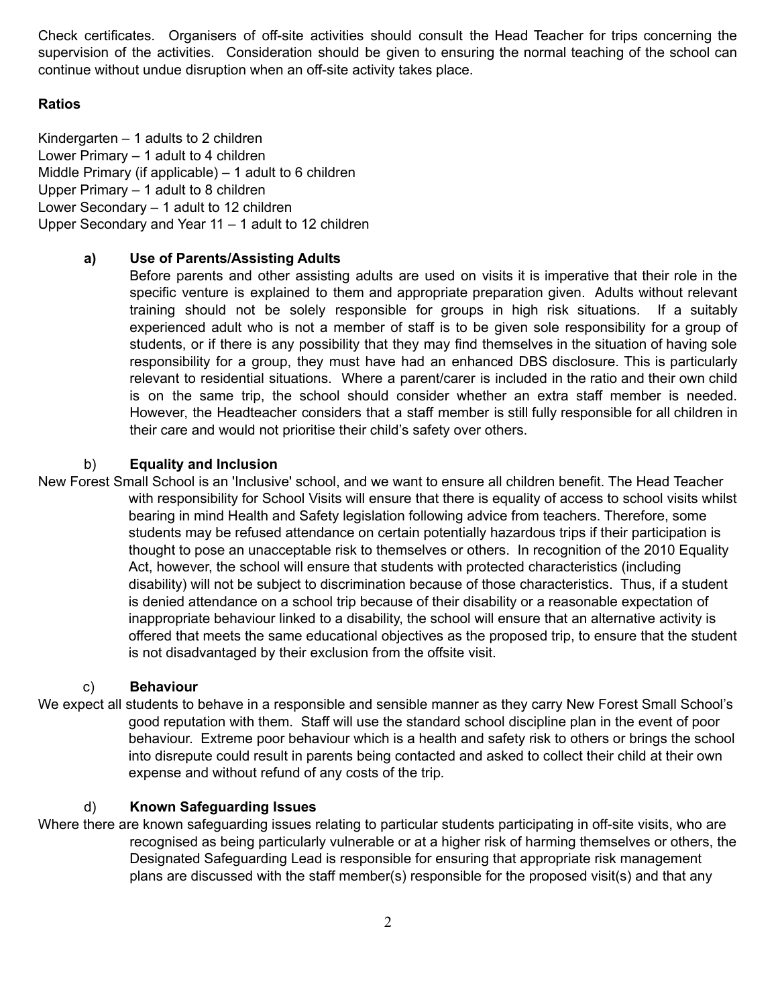Check certificates. Organisers of off-site activities should consult the Head Teacher for trips concerning the supervision of the activities. Consideration should be given to ensuring the normal teaching of the school can continue without undue disruption when an off-site activity takes place.

## **Ratios**

Kindergarten – 1 adults to 2 children Lower Primary – 1 adult to 4 children Middle Primary (if applicable) – 1 adult to 6 children Upper Primary – 1 adult to 8 children Lower Secondary – 1 adult to 12 children Upper Secondary and Year 11 – 1 adult to 12 children

## **a) Use of Parents/Assisting Adults**

Before parents and other assisting adults are used on visits it is imperative that their role in the specific venture is explained to them and appropriate preparation given. Adults without relevant training should not be solely responsible for groups in high risk situations. If a suitably experienced adult who is not a member of staff is to be given sole responsibility for a group of students, or if there is any possibility that they may find themselves in the situation of having sole responsibility for a group, they must have had an enhanced DBS disclosure. This is particularly relevant to residential situations. Where a parent/carer is included in the ratio and their own child is on the same trip, the school should consider whether an extra staff member is needed. However, the Headteacher considers that a staff member is still fully responsible for all children in their care and would not prioritise their child's safety over others.

## b) **Equality and Inclusion**

New Forest Small School is an 'Inclusive' school, and we want to ensure all children benefit. The Head Teacher with responsibility for School Visits will ensure that there is equality of access to school visits whilst bearing in mind Health and Safety legislation following advice from teachers. Therefore, some students may be refused attendance on certain potentially hazardous trips if their participation is thought to pose an unacceptable risk to themselves or others. In recognition of the 2010 Equality Act, however, the school will ensure that students with protected characteristics (including disability) will not be subject to discrimination because of those characteristics. Thus, if a student is denied attendance on a school trip because of their disability or a reasonable expectation of inappropriate behaviour linked to a disability, the school will ensure that an alternative activity is offered that meets the same educational objectives as the proposed trip, to ensure that the student is not disadvantaged by their exclusion from the offsite visit.

## c) **Behaviour**

We expect all students to behave in a responsible and sensible manner as they carry New Forest Small School's good reputation with them. Staff will use the standard school discipline plan in the event of poor behaviour. Extreme poor behaviour which is a health and safety risk to others or brings the school into disrepute could result in parents being contacted and asked to collect their child at their own expense and without refund of any costs of the trip*.*

## d) **Known Safeguarding Issues**

Where there are known safeguarding issues relating to particular students participating in off-site visits, who are recognised as being particularly vulnerable or at a higher risk of harming themselves or others, the Designated Safeguarding Lead is responsible for ensuring that appropriate risk management plans are discussed with the staff member(s) responsible for the proposed visit(s) and that any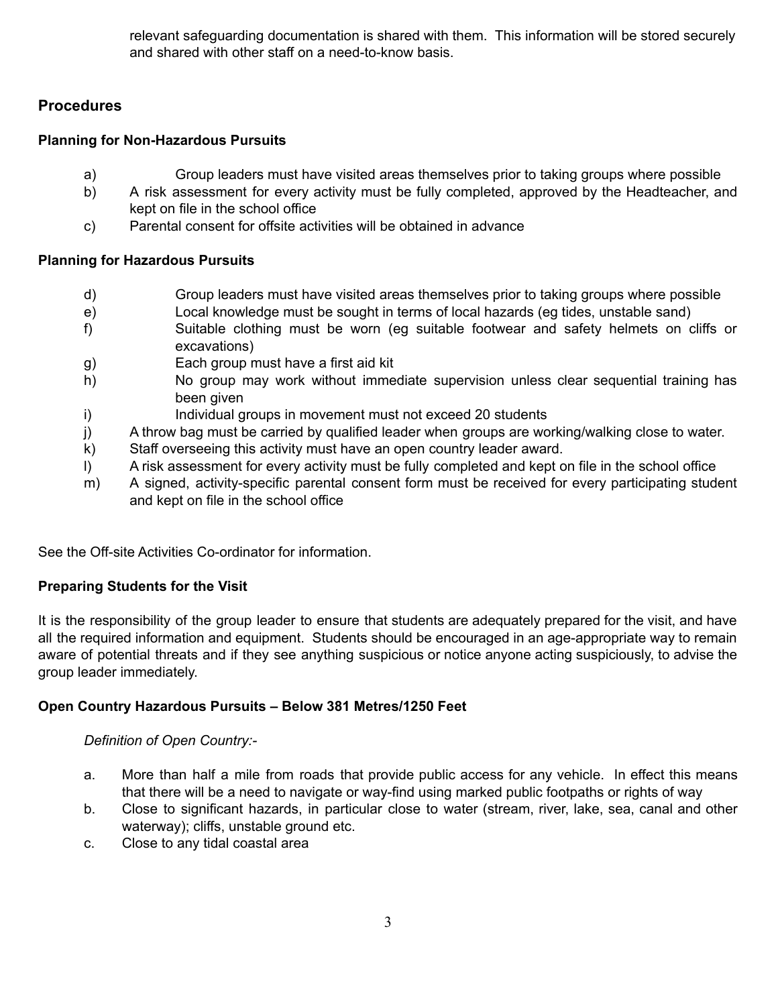relevant safeguarding documentation is shared with them. This information will be stored securely and shared with other staff on a need-to-know basis.

# **Procedures**

## **Planning for Non-Hazardous Pursuits**

- a) Group leaders must have visited areas themselves prior to taking groups where possible
- b) A risk assessment for every activity must be fully completed, approved by the Headteacher, and kept on file in the school office
- c) Parental consent for offsite activities will be obtained in advance

## **Planning for Hazardous Pursuits**

- d) Group leaders must have visited areas themselves prior to taking groups where possible
- e) Local knowledge must be sought in terms of local hazards (eg tides, unstable sand)
- f) Suitable clothing must be worn (eg suitable footwear and safety helmets on cliffs or excavations)
- g) Each group must have a first aid kit
- h) No group may work without immediate supervision unless clear sequential training has been given
- i) Individual groups in movement must not exceed 20 students
- j) A throw bag must be carried by qualified leader when groups are working/walking close to water.
- k) Staff overseeing this activity must have an open country leader award.
- l) A risk assessment for every activity must be fully completed and kept on file in the school office
- m) A signed, activity-specific parental consent form must be received for every participating student and kept on file in the school office

See the Off-site Activities Co-ordinator for information.

## **Preparing Students for the Visit**

It is the responsibility of the group leader to ensure that students are adequately prepared for the visit, and have all the required information and equipment. Students should be encouraged in an age-appropriate way to remain aware of potential threats and if they see anything suspicious or notice anyone acting suspiciously, to advise the group leader immediately.

## **Open Country Hazardous Pursuits – Below 381 Metres/1250 Feet**

## *Definition of Open Country:-*

- a. More than half a mile from roads that provide public access for any vehicle. In effect this means that there will be a need to navigate or way-find using marked public footpaths or rights of way
- b. Close to significant hazards, in particular close to water (stream, river, lake, sea, canal and other waterway); cliffs, unstable ground etc.
- c. Close to any tidal coastal area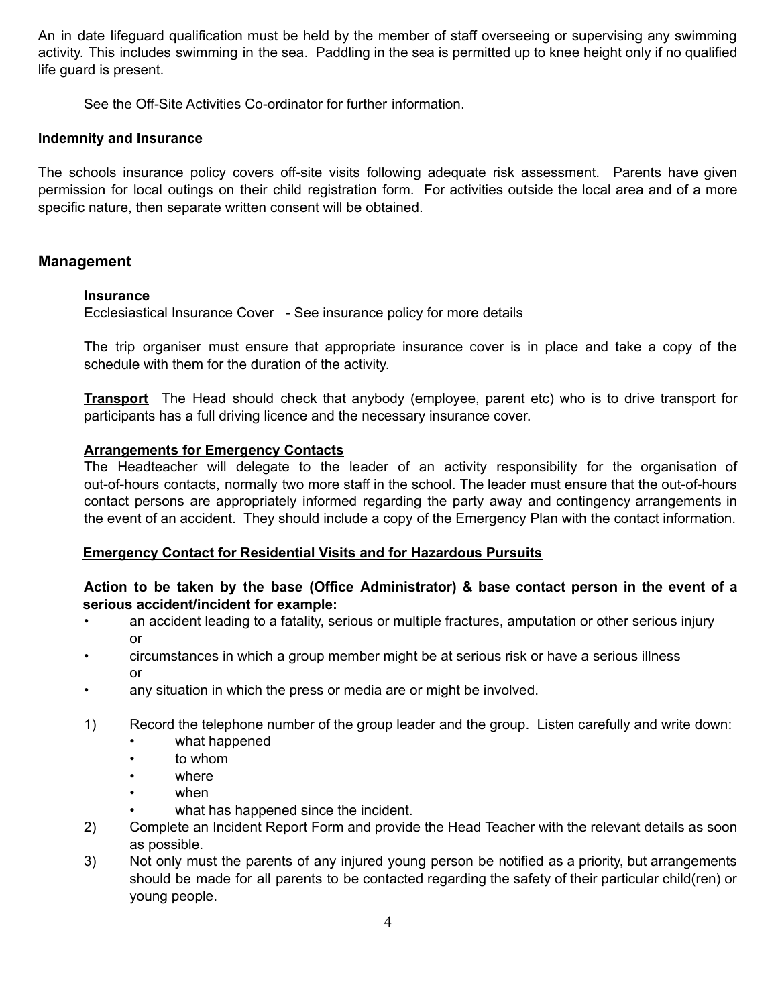An in date lifeguard qualification must be held by the member of staff overseeing or supervising any swimming activity. This includes swimming in the sea. Paddling in the sea is permitted up to knee height only if no qualified life guard is present.

See the Off-Site Activities Co-ordinator for further information.

#### **Indemnity and Insurance**

The schools insurance policy covers off-site visits following adequate risk assessment. Parents have given permission for local outings on their child registration form. For activities outside the local area and of a more specific nature, then separate written consent will be obtained.

## **Management**

#### **Insurance**

Ecclesiastical Insurance Cover - See insurance policy for more details

The trip organiser must ensure that appropriate insurance cover is in place and take a copy of the schedule with them for the duration of the activity.

**Transport** The Head should check that anybody (employee, parent etc) who is to drive transport for participants has a full driving licence and the necessary insurance cover.

#### **Arrangements for Emergency Contacts**

The Headteacher will delegate to the leader of an activity responsibility for the organisation of out-of-hours contacts, normally two more staff in the school. The leader must ensure that the out-of-hours contact persons are appropriately informed regarding the party away and contingency arrangements in the event of an accident. They should include a copy of the Emergency Plan with the contact information.

#### **Emergency Contact for Residential Visits and for Hazardous Pursuits**

### **Action to be taken by the base (Office Administrator) & base contact person in the event of a serious accident/incident for example:**

- an accident leading to a fatality, serious or multiple fractures, amputation or other serious injury or
- circumstances in which a group member might be at serious risk or have a serious illness or
- any situation in which the press or media are or might be involved.
- 1) Record the telephone number of the group leader and the group. Listen carefully and write down:
	- what happened
	- to whom
	- where
	- when
	- what has happened since the incident.
- 2) Complete an Incident Report Form and provide the Head Teacher with the relevant details as soon as possible.
- 3) Not only must the parents of any injured young person be notified as a priority, but arrangements should be made for all parents to be contacted regarding the safety of their particular child(ren) or young people.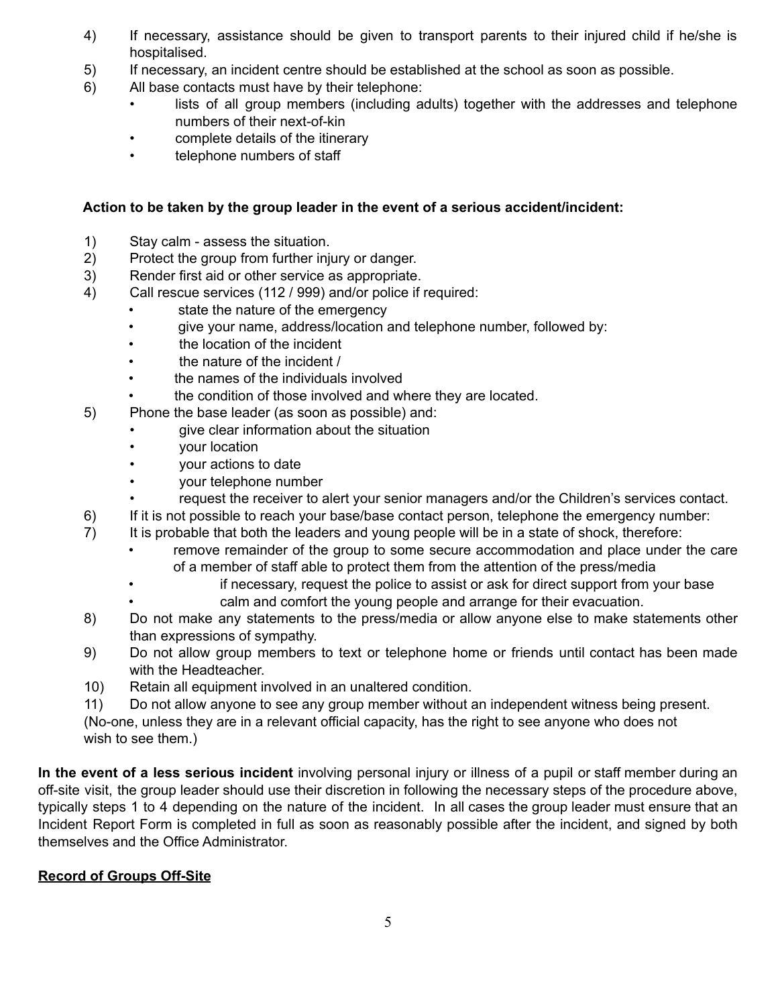- 4) If necessary, assistance should be given to transport parents to their injured child if he/she is hospitalised.
- 5) If necessary, an incident centre should be established at the school as soon as possible.
- 6) All base contacts must have by their telephone:
	- lists of all group members (including adults) together with the addresses and telephone numbers of their next-of-kin
	- complete details of the itinerary
	- telephone numbers of staff

## **Action to be taken by the group leader in the event of a serious accident/incident:**

- 1) Stay calm assess the situation.
- 2) Protect the group from further injury or danger.
- 3) Render first aid or other service as appropriate.
- 4) Call rescue services (112 / 999) and/or police if required:
	- state the nature of the emergency
	- give your name, address/location and telephone number, followed by:
	- the location of the incident
	- the nature of the incident /
	- the names of the individuals involved
	- the condition of those involved and where they are located.
- 5) Phone the base leader (as soon as possible) and:
	- give clear information about the situation
	- your location
	- your actions to date
	- your telephone number
	- request the receiver to alert your senior managers and/or the Children's services contact.
- 6) If it is not possible to reach your base/base contact person, telephone the emergency number:
- 7) It is probable that both the leaders and young people will be in a state of shock, therefore:
	- remove remainder of the group to some secure accommodation and place under the care of a member of staff able to protect them from the attention of the press/media
	- if necessary, request the police to assist or ask for direct support from your base calm and comfort the young people and arrange for their evacuation.
- 8) Do not make any statements to the press/media or allow anyone else to make statements other than expressions of sympathy.
- 9) Do not allow group members to text or telephone home or friends until contact has been made with the Headteacher.
- 10) Retain all equipment involved in an unaltered condition.
- 11) Do not allow anyone to see any group member without an independent witness being present.

(No-one, unless they are in a relevant official capacity, has the right to see anyone who does not wish to see them.)

**In the event of a less serious incident** involving personal injury or illness of a pupil or staff member during an off-site visit, the group leader should use their discretion in following the necessary steps of the procedure above, typically steps 1 to 4 depending on the nature of the incident. In all cases the group leader must ensure that an Incident Report Form is completed in full as soon as reasonably possible after the incident, and signed by both themselves and the Office Administrator.

## **Record of Groups Off-Site**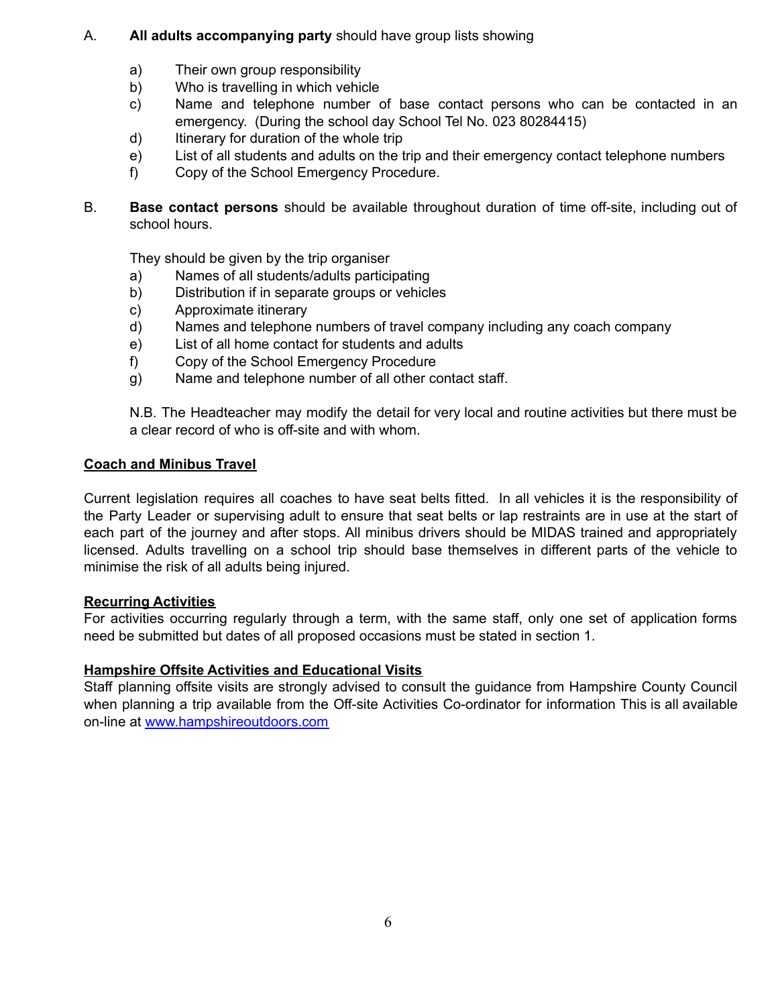## A. **All adults accompanying party** should have group lists showing

- a) Their own group responsibility
- b) Who is travelling in which vehicle
- c) Name and telephone number of base contact persons who can be contacted in an emergency. (During the school day School Tel No. 023 80284415)
- d) Itinerary for duration of the whole trip
- e) List of all students and adults on the trip and their emergency contact telephone numbers
- f) Copy of the School Emergency Procedure.
- B. **Base contact persons** should be available throughout duration of time off-site, including out of school hours.

They should be given by the trip organiser

- a) Names of all students/adults participating
- b) Distribution if in separate groups or vehicles
- c) Approximate itinerary
- d) Names and telephone numbers of travel company including any coach company
- e) List of all home contact for students and adults
- f) Copy of the School Emergency Procedure
- g) Name and telephone number of all other contact staff.

N.B. The Headteacher may modify the detail for very local and routine activities but there must be a clear record of who is off-site and with whom.

## **Coach and Minibus Travel**

Current legislation requires all coaches to have seat belts fitted. In all vehicles it is the responsibility of the Party Leader or supervising adult to ensure that seat belts or lap restraints are in use at the start of each part of the journey and after stops. All minibus drivers should be MIDAS trained and appropriately licensed. Adults travelling on a school trip should base themselves in different parts of the vehicle to minimise the risk of all adults being injured.

## **Recurring Activities**

For activities occurring regularly through a term, with the same staff, only one set of application forms need be submitted but dates of all proposed occasions must be stated in section 1.

## **Hampshire Offsite Activities and Educational Visits**

Staff planning offsite visits are strongly advised to consult the guidance from Hampshire County Council when planning a trip available from the Off-site Activities Co-ordinator for information This is all available on-line at [www.hampshireoutdoors.com](http://www.hampshireoutdoors.com)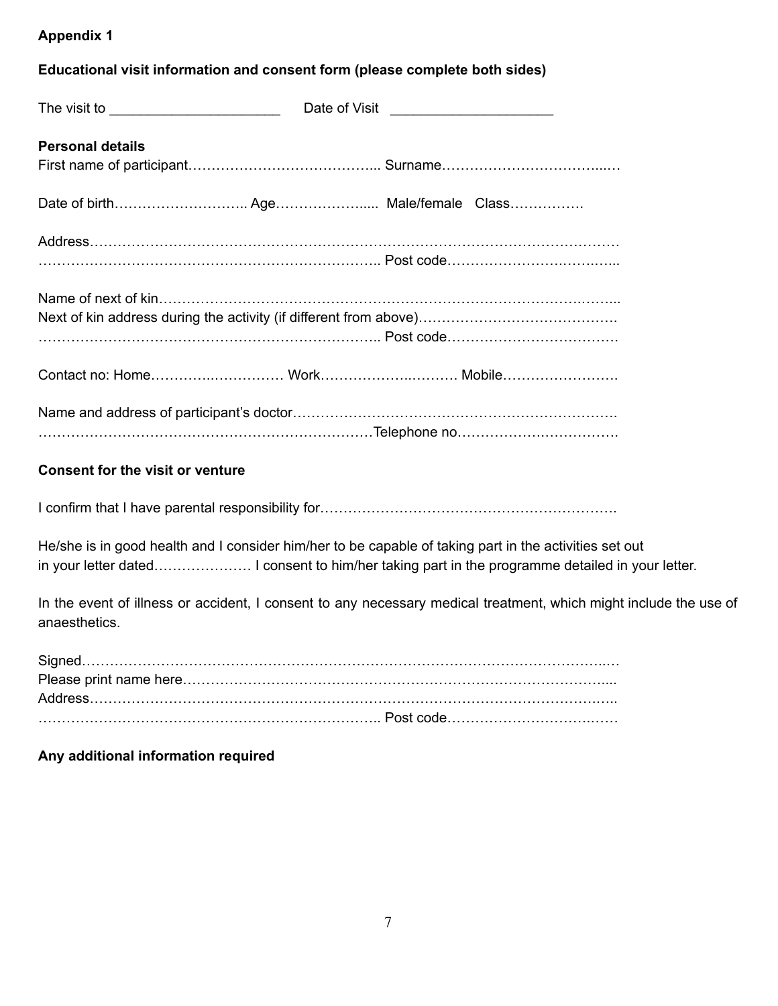# **Appendix 1**

## **Educational visit information and consent form (please complete both sides)**

|                         | Date of Visit |  |  |  |  |
|-------------------------|---------------|--|--|--|--|
| <b>Personal details</b> |               |  |  |  |  |
|                         |               |  |  |  |  |
|                         |               |  |  |  |  |
|                         |               |  |  |  |  |
|                         |               |  |  |  |  |
|                         |               |  |  |  |  |

# **Consent for the visit or venture**

I confirm that I have parental responsibility for…………………………………………………………………………………

He/she is in good health and I consider him/her to be capable of taking part in the activities set out in your letter dated………………… I consent to him/her taking part in the programme detailed in your letter.

In the event of illness or accident, I consent to any necessary medical treatment, which might include the use of anaesthetics.

## **Any additional information required**